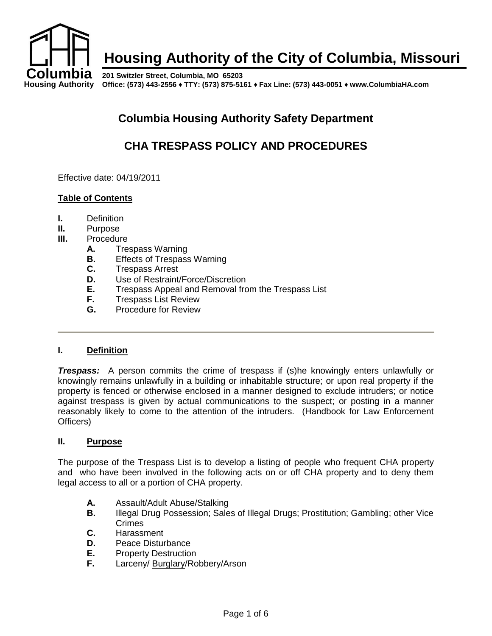

# **Housing Authority of the City of Columbia, Missouri**

**Housing Authority Office: (573) 443-2556 ♦ TTY: (573) 875-5161 ♦ Fax Line: (573) 443-0051 ♦ www.ColumbiaHA.com 201 Switzler Street, Columbia, MO 65203**

# **Columbia Housing Authority Safety Department**

# **CHA TRESPASS POLICY AND PROCEDURES**

Effective date: 04/19/2011

### **Table of Contents**

- **I.** Definition
- **II.** Purpose
- **III.** Procedure
	- **A.** Trespass Warning
	- **B.** Effects of Trespass Warning
	- **C.** Trespass Arrest
	- **D.** Use of Restraint/Force/Discretion
	- **E.** Trespass Appeal and Removal from the Trespass List
	- **F.** Trespass List Review
	- **G.** Procedure for Review

#### **I. Definition**

*Trespass:* A person commits the crime of trespass if (s)he knowingly enters unlawfully or knowingly remains unlawfully in a building or inhabitable structure; or upon real property if the property is fenced or otherwise enclosed in a manner designed to exclude intruders; or notice against trespass is given by actual communications to the suspect; or posting in a manner reasonably likely to come to the attention of the intruders. (Handbook for Law Enforcement Officers)

#### **II. Purpose**

The purpose of the Trespass List is to develop a listing of people who frequent CHA property and who have been involved in the following acts on or off CHA property and to deny them legal access to all or a portion of CHA property.

- **A.** Assault/Adult Abuse/Stalking
- **B.** Illegal Drug Possession; Sales of Illegal Drugs; Prostitution; Gambling; other Vice Crimes
- **C.** Harassment
- **D.** Peace Disturbance<br>**E.** Property Destruction
- **E.** Property Destruction<br>**F.** Larceny/Burglary/Ro
- **F.** Larceny/ Burglary/Robbery/Arson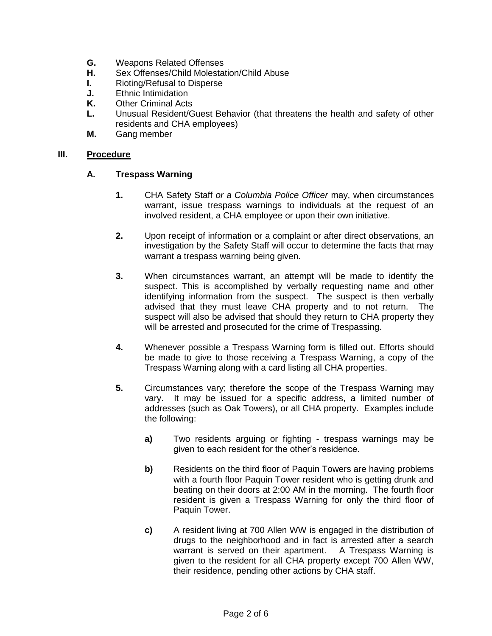- **G.** Weapons Related Offenses
- **H.** Sex Offenses/Child Molestation/Child Abuse
- **I.** Rioting/Refusal to Disperse
- **J.** Ethnic Intimidation
- **K.** Other Criminal Acts
- **L.** Unusual Resident/Guest Behavior (that threatens the health and safety of other residents and CHA employees)
- **M.** Gang member

#### **III. Procedure**

### **A. Trespass Warning**

- **1.** CHA Safety Staff *or a Columbia Police Officer* may, when circumstances warrant, issue trespass warnings to individuals at the request of an involved resident, a CHA employee or upon their own initiative.
- **2.** Upon receipt of information or a complaint or after direct observations, an investigation by the Safety Staff will occur to determine the facts that may warrant a trespass warning being given.
- **3.** When circumstances warrant, an attempt will be made to identify the suspect. This is accomplished by verbally requesting name and other identifying information from the suspect. The suspect is then verbally advised that they must leave CHA property and to not return. The suspect will also be advised that should they return to CHA property they will be arrested and prosecuted for the crime of Trespassing.
- **4.** Whenever possible a Trespass Warning form is filled out. Efforts should be made to give to those receiving a Trespass Warning, a copy of the Trespass Warning along with a card listing all CHA properties.
- **5.** Circumstances vary; therefore the scope of the Trespass Warning may vary. It may be issued for a specific address, a limited number of addresses (such as Oak Towers), or all CHA property. Examples include the following:
	- **a)** Two residents arguing or fighting trespass warnings may be given to each resident for the other's residence.
	- **b)** Residents on the third floor of Paquin Towers are having problems with a fourth floor Paquin Tower resident who is getting drunk and beating on their doors at 2:00 AM in the morning. The fourth floor resident is given a Trespass Warning for only the third floor of Paquin Tower.
	- **c)** A resident living at 700 Allen WW is engaged in the distribution of drugs to the neighborhood and in fact is arrested after a search warrant is served on their apartment. A Trespass Warning is given to the resident for all CHA property except 700 Allen WW, their residence, pending other actions by CHA staff.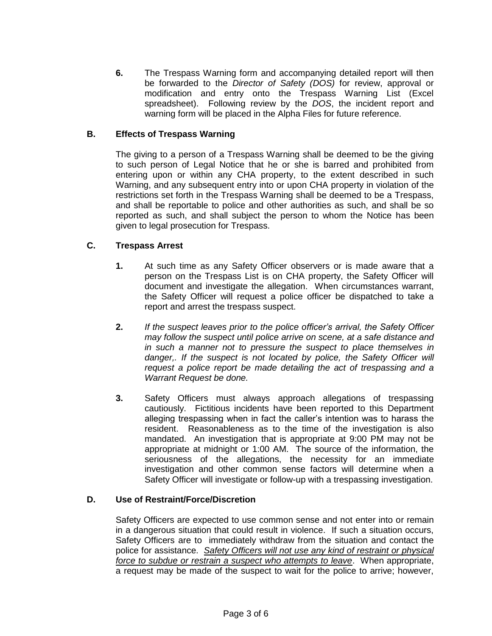**6.** The Trespass Warning form and accompanying detailed report will then be forwarded to the *Director of Safety (DOS)* for review, approval or modification and entry onto the Trespass Warning List (Excel spreadsheet). Following review by the *DOS*, the incident report and warning form will be placed in the Alpha Files for future reference.

### **B. Effects of Trespass Warning**

The giving to a person of a Trespass Warning shall be deemed to be the giving to such person of Legal Notice that he or she is barred and prohibited from entering upon or within any CHA property, to the extent described in such Warning, and any subsequent entry into or upon CHA property in violation of the restrictions set forth in the Trespass Warning shall be deemed to be a Trespass, and shall be reportable to police and other authorities as such, and shall be so reported as such, and shall subject the person to whom the Notice has been given to legal prosecution for Trespass.

### **C. Trespass Arrest**

- **1.** At such time as any Safety Officer observers or is made aware that a person on the Trespass List is on CHA property, the Safety Officer will document and investigate the allegation. When circumstances warrant, the Safety Officer will request a police officer be dispatched to take a report and arrest the trespass suspect.
- **2.** *If the suspect leaves prior to the police officer's arrival, the Safety Officer may follow the suspect until police arrive on scene, at a safe distance and in such a manner not to pressure the suspect to place themselves in danger,. If the suspect is not located by police, the Safety Officer will request a police report be made detailing the act of trespassing and a Warrant Request be done.*
- **3.** Safety Officers must always approach allegations of trespassing cautiously. Fictitious incidents have been reported to this Department alleging trespassing when in fact the caller's intention was to harass the resident. Reasonableness as to the time of the investigation is also mandated. An investigation that is appropriate at 9:00 PM may not be appropriate at midnight or 1:00 AM. The source of the information, the seriousness of the allegations, the necessity for an immediate investigation and other common sense factors will determine when a Safety Officer will investigate or follow-up with a trespassing investigation.

## **D. Use of Restraint/Force/Discretion**

Safety Officers are expected to use common sense and not enter into or remain in a dangerous situation that could result in violence. If such a situation occurs, Safety Officers are to immediately withdraw from the situation and contact the police for assistance. *Safety Officers will not use any kind of restraint or physical force to subdue or restrain a suspect who attempts to leave*. When appropriate, a request may be made of the suspect to wait for the police to arrive; however,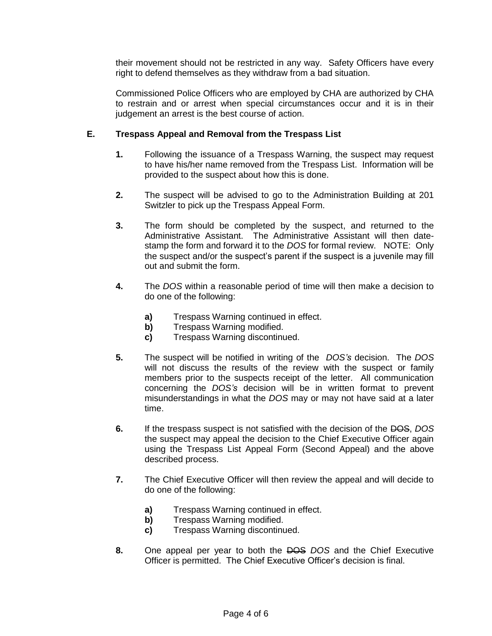their movement should not be restricted in any way. Safety Officers have every right to defend themselves as they withdraw from a bad situation.

Commissioned Police Officers who are employed by CHA are authorized by CHA to restrain and or arrest when special circumstances occur and it is in their judgement an arrest is the best course of action.

### **E. Trespass Appeal and Removal from the Trespass List**

- **1.** Following the issuance of a Trespass Warning, the suspect may request to have his/her name removed from the Trespass List. Information will be provided to the suspect about how this is done.
- **2.** The suspect will be advised to go to the Administration Building at 201 Switzler to pick up the Trespass Appeal Form.
- **3.** The form should be completed by the suspect, and returned to the Administrative Assistant. The Administrative Assistant will then datestamp the form and forward it to the *DOS* for formal review. NOTE: Only the suspect and/or the suspect's parent if the suspect is a juvenile may fill out and submit the form.
- **4.** The *DOS* within a reasonable period of time will then make a decision to do one of the following:
	- **a)** Trespass Warning continued in effect.
	- **b)** Trespass Warning modified.
	- **c)** Trespass Warning discontinued.
- **5.** The suspect will be notified in writing of the *DOS's* decision. The *DOS* will not discuss the results of the review with the suspect or family members prior to the suspects receipt of the letter. All communication concerning the *DOS's* decision will be in written format to prevent misunderstandings in what the *DOS* may or may not have said at a later time.
- **6.** If the trespass suspect is not satisfied with the decision of the DOS, *DOS* the suspect may appeal the decision to the Chief Executive Officer again using the Trespass List Appeal Form (Second Appeal) and the above described process.
- **7.** The Chief Executive Officer will then review the appeal and will decide to do one of the following:
	- **a)** Trespass Warning continued in effect.
	- **b)** Trespass Warning modified.
	- **c)** Trespass Warning discontinued.
- **8.** One appeal per year to both the DOS *DOS* and the Chief Executive Officer is permitted. The Chief Executive Officer's decision is final.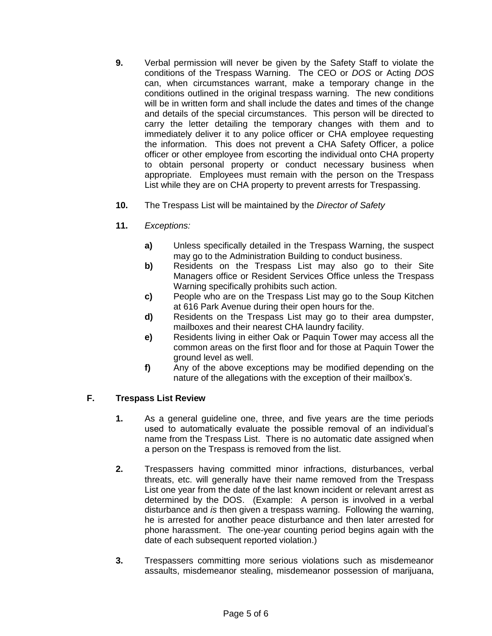- **9.** Verbal permission will never be given by the Safety Staff to violate the conditions of the Trespass Warning. The CEO or *DOS* or Acting *DOS* can, when circumstances warrant, make a temporary change in the conditions outlined in the original trespass warning. The new conditions will be in written form and shall include the dates and times of the change and details of the special circumstances. This person will be directed to carry the letter detailing the temporary changes with them and to immediately deliver it to any police officer or CHA employee requesting the information. This does not prevent a CHA Safety Officer, a police officer or other employee from escorting the individual onto CHA property to obtain personal property or conduct necessary business when appropriate. Employees must remain with the person on the Trespass List while they are on CHA property to prevent arrests for Trespassing.
- **10.** The Trespass List will be maintained by the *Director of Safety*
- **11.** *Exceptions:*
	- **a)** Unless specifically detailed in the Trespass Warning, the suspect may go to the Administration Building to conduct business.
	- **b)** Residents on the Trespass List may also go to their Site Managers office or Resident Services Office unless the Trespass Warning specifically prohibits such action.
	- **c)** People who are on the Trespass List may go to the Soup Kitchen at 616 Park Avenue during their open hours for the.
	- **d)** Residents on the Trespass List may go to their area dumpster, mailboxes and their nearest CHA laundry facility.
	- **e)** Residents living in either Oak or Paquin Tower may access all the common areas on the first floor and for those at Paquin Tower the ground level as well.
	- **f)** Any of the above exceptions may be modified depending on the nature of the allegations with the exception of their mailbox's.

## **F. Trespass List Review**

- **1.** As a general guideline one, three, and five years are the time periods used to automatically evaluate the possible removal of an individual's name from the Trespass List. There is no automatic date assigned when a person on the Trespass is removed from the list.
- **2.** Trespassers having committed minor infractions, disturbances, verbal threats, etc. will generally have their name removed from the Trespass List one year from the date of the last known incident or relevant arrest as determined by the DOS. (Example: A person is involved in a verbal disturbance and *is* then given a trespass warning. Following the warning, he is arrested for another peace disturbance and then later arrested for phone harassment. The one-year counting period begins again with the date of each subsequent reported violation.)
- **3.** Trespassers committing more serious violations such as misdemeanor assaults, misdemeanor stealing, misdemeanor possession of marijuana,